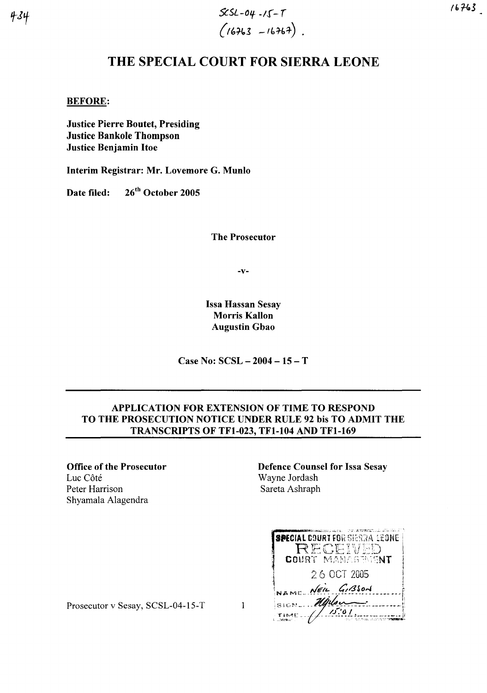*SC5L-O'f* ~/r- r  $(16763 - 16767)$ .

# THE SPECIAL COURT FOR SIERRA LEONE

BEFORE:

Justice Pierre Boutet, Presiding Justice Bankole Thompson Justice Benjamin Hoe

Interim Registrar: Mr. Lovemore G. Munlo

Date filed: 26<sup>th</sup> October 2005

The Prosecutor

-v-

Issa Hassan Sesay Morris Kallon Augustin Gbao

Case No: SCSL - 2004 - 15 - T

## APPLICATION FOR EXTENSION OF TIME TO RESPOND TO THE PROSECUTION NOTICE UNDER RULE 92 bis TO ADMIT THE TRANSCRIPTS OF TFI-023, TFI-I04 AND TFI-169

Office of the Prosecutor Luc Côté Peter Harrison Shyamala Alagendra

Defence Counsel for Issa Sesay Wayne Jordash Sareta Ashraph

**SPECIAL DOURT FOR SIERRA LEONE** RECEIVED 26 OCT 2005 NAME NEW GIBSON SIGN Mylow  $TIME = \frac{1}{\sqrt{1.01}}$ 

Prosecutor v Sesay, SCSL-04-15-T 1

 $434$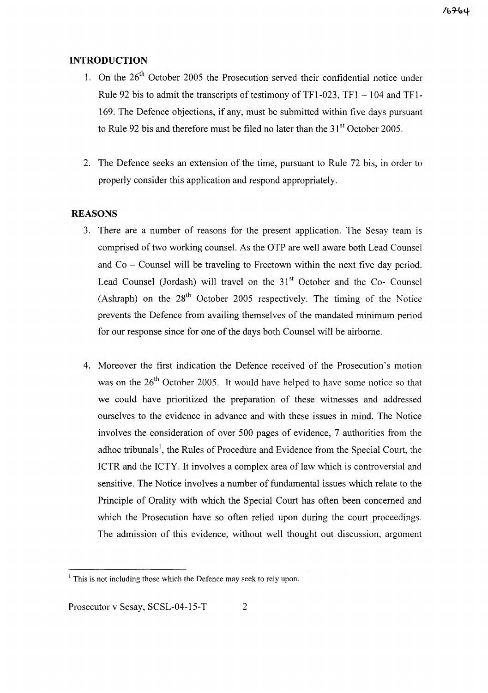# **INTRODUCTION**

- 1. On the  $26<sup>th</sup>$  October 2005 the Prosecution served their confidential notice under Rule 92 bis to admit the transcripts of testimony of  $TF1-023$ ,  $TF1-104$  and  $TF1-$ 169. The Defence objections, if any, must be submitted within five days pursuant to Rule 92 bis and therefore must be filed no later than the  $31<sup>st</sup>$  October 2005.
- 2. The Defence seeks an extension of the time, pursuant to Rule 72 bis, in order to properly consider this application and respond appropriately.

### **REASONS**

- 3. There are a number of reasons for the present application. The Sesay team is comprised of two working counsel. As the OTP are well aware both Lead Counsel and  $Co - Counsel$  will be traveling to Freetown within the next five day period. Lead Counsel (Jordash) will travel on the  $31<sup>st</sup>$  October and the Co- Counsel (Ashraph) on the  $28<sup>th</sup>$  October 2005 respectively. The timing of the Notice prevents the Defence from availing themselves of the mandated minimum period for our response since for one of the days both Counsel will be airborne.
- 4. Moreover the first indication the Defence received of the Prosecution's motion was on the  $26<sup>th</sup>$  October 2005. It would have helped to have some notice so that we could have prioritized the preparation of these witnesses and addressed ourselves to the evidence in advance and with these issues in mind. The Notice involves the consideration of over 500 pages of evidence, 7 authorities from the adhoc tribunals<sup>1</sup>, the Rules of Procedure and Evidence from the Special Court, the ICTR and the ICTY. It involves a complex area of law which is controversial and sensitive. The Notice involves a number of fundamental issues which relate to the Principle of Orality with which the Special Court has often been concerned and which the Prosecution have so often relied upon during the court proceedings. The admission of this evidence, without well thought out discussion, argument

 $<sup>1</sup>$  This is not including those which the Defence may seek to rely upon.</sup>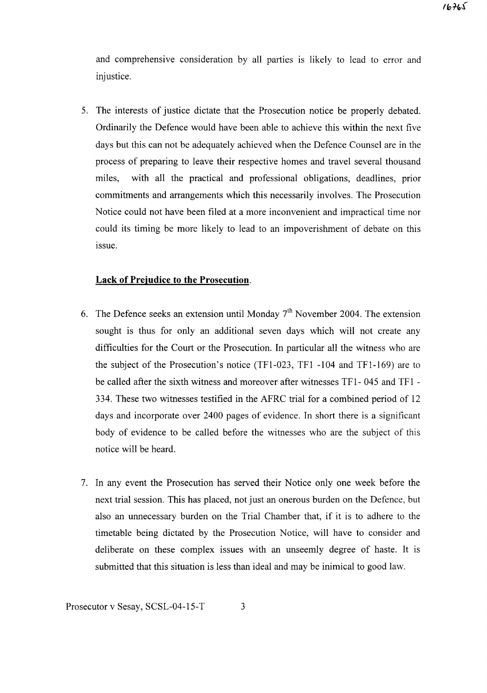and comprehensive consideration by all parties is likely to lead to error and injustice.

5. The interests of justice dictate that the Prosecution notice be properly debated. Ordinarily the Defence would have been able to achieve this within the next five days but this can not be adequately achieved when the Defence Counsel are in the process of preparing to leave their respective homes and travel several thousand miles, with all the practical and professional obligations, deadlines, prior commitments and arrangements which this necessarily involves. The Prosecution Notice could not have been filed at a more inconvenient and impractical time nor could its timing be more likely to lead to an impoverishment of debate on this issue.

#### **Lack of Prejudice to the Prosecution.**

- 6. The Defence seeks an extension until Monday  $7<sup>th</sup>$  November 2004. The extension sought is thus for only an additional seven days which will not create any difficulties for the Court or the Prosecution. **In** particular all the witness who are the subject of the Prosecution's notice (TFI-023, TFI -104 and TFI-169) are to be called after the sixth witness and moreover after witnesses TF1- 045 and TFI - 334. These two witnesses testified in the AFRC trial for a combined period of 12 days and incorporate over 2400 pages of evidence. **In** short there is a significant body of evidence to be called before the witnesses who are the subject of this notice will be heard.
- 7. **In** any event the Prosecution has served their Notice only one week before the next trial session. This has placed, not just an onerous burden on the Defence, but also an unnecessary burden on the Trial Chamber that, if it is to adhere to the timetable being dictated by the Prosecution Notice, will have to consider and deliberate on these complex issues with an unseemly degree of haste. It is submitted that this situation is less than ideal and may be inimical to good law.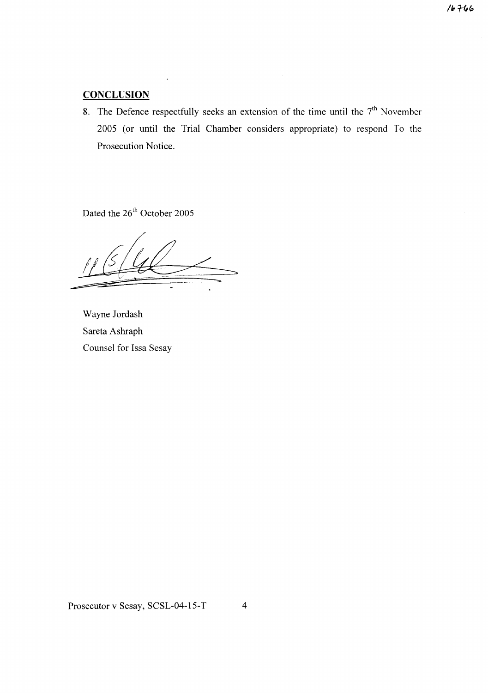$16766$ 

# **CONCLUSION**

8. The Defence respectfully seeks an extension of the time until the  $7<sup>th</sup>$  November 2005 (or until the Trial Chamber considers appropriate) to respond To the Prosecution Notice.

Dated the 26<sup>th</sup> October 2005

Wayne Jordash Sareta Ashraph Counsel for Issa Sesay